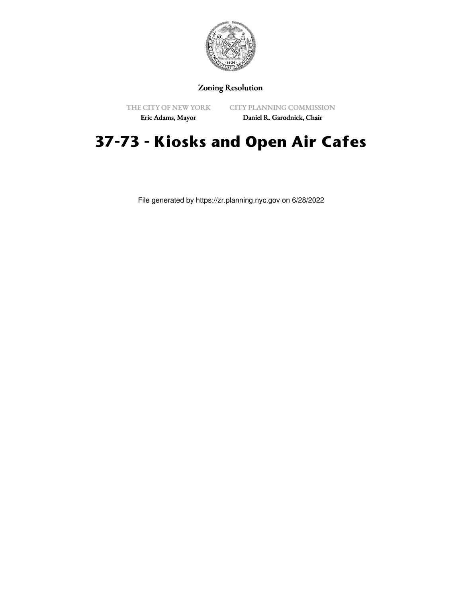

## Zoning Resolution

THE CITY OF NEW YORK Eric Adams, Mayor

CITY PLANNING COMMISSION

Daniel R. Garodnick, Chair

# **37-73 - Kiosks and Open Air Cafes**

File generated by https://zr.planning.nyc.gov on 6/28/2022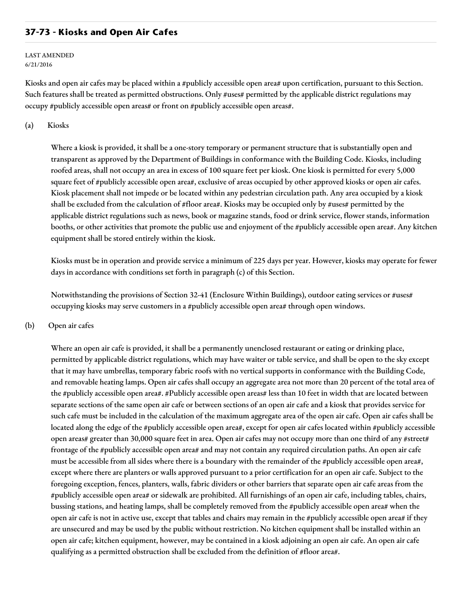## **37-73 - Kiosks and Open Air Cafes**

#### LAST AMENDED 6/21/2016

Kiosks and open air cafes may be placed within a #publicly accessible open area# upon certification, pursuant to this Section. Such features shall be treated as permitted obstructions. Only #uses# permitted by the applicable district regulations may occupy #publicly accessible open areas# or front on #publicly accessible open areas#.

### (a) Kiosks

Where a kiosk is provided, it shall be a one-story temporary or permanent structure that is substantially open and transparent as approved by the Department of Buildings in conformance with the Building Code. Kiosks, including roofed areas, shall not occupy an area in excess of 100 square feet per kiosk. One kiosk is permitted for every 5,000 square feet of #publicly accessible open area#, exclusive of areas occupied by other approved kiosks or open air cafes. Kiosk placement shall not impede or be located within any pedestrian circulation path. Any area occupied by a kiosk shall be excluded from the calculation of #floor area#. Kiosks may be occupied only by #uses# permitted by the applicable district regulations such as news, book or magazine stands, food or drink service, flower stands, information booths, or other activities that promote the public use and enjoyment of the #publicly accessible open area#. Any kitchen equipment shall be stored entirely within the kiosk.

Kiosks must be in operation and provide service a minimum of 225 days per year. However, kiosks may operate for fewer days in accordance with conditions set forth in paragraph (c) of this Section.

Notwithstanding the provisions of Section 32-41 (Enclosure Within Buildings), outdoor eating services or #uses# occupying kiosks may serve customers in a #publicly accessible open area# through open windows.

### (b) Open air cafes

Where an open air cafe is provided, it shall be a permanently unenclosed restaurant or eating or drinking place, permitted by applicable district regulations, which may have waiter or table service, and shall be open to the sky except that it may have umbrellas, temporary fabric roofs with no vertical supports in conformance with the Building Code, and removable heating lamps. Open air cafes shall occupy an aggregate area not more than 20 percent of the total area of the #publicly accessible open area#. #Publicly accessible open areas# less than 10 feet in width that are located between separate sections of the same open air cafe or between sections of an open air cafe and a kiosk that provides service for such cafe must be included in the calculation of the maximum aggregate area of the open air cafe. Open air cafes shall be located along the edge of the #publicly accessible open area#, except for open air cafes located within #publicly accessible open areas# greater than 30,000 square feet in area. Open air cafes may not occupy more than one third of any #street# frontage of the #publicly accessible open area# and may not contain any required circulation paths. An open air cafe must be accessible from all sides where there is a boundary with the remainder of the #publicly accessible open area#, except where there are planters or walls approved pursuant to a prior certification for an open air cafe. Subject to the foregoing exception, fences, planters, walls, fabric dividers or other barriers that separate open air cafe areas from the #publicly accessible open area# or sidewalk are prohibited. All furnishings of an open air cafe, including tables, chairs, bussing stations, and heating lamps, shall be completely removed from the #publicly accessible open area# when the open air cafe is not in active use, except that tables and chairs may remain in the #publicly accessible open area# if they are unsecured and may be used by the public without restriction. No kitchen equipment shall be installed within an open air cafe; kitchen equipment, however, may be contained in a kiosk adjoining an open air cafe. An open air cafe qualifying as a permitted obstruction shall be excluded from the definition of #floor area#.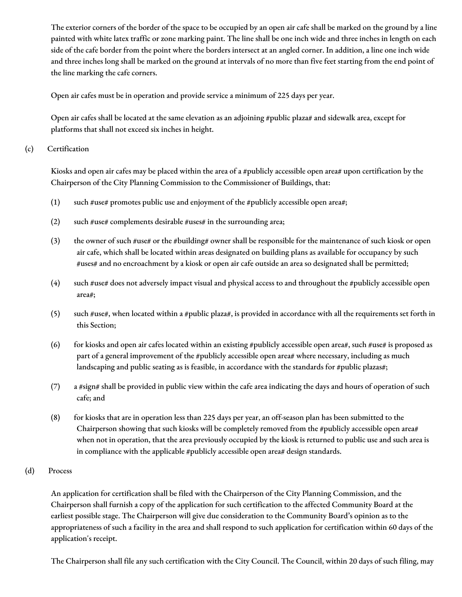The exterior corners of the border of the space to be occupied by an open air cafe shall be marked on the ground by a line painted with white latex traffic or zone marking paint. The line shall be one inch wide and three inches in length on each side of the cafe border from the point where the borders intersect at an angled corner. In addition, a line one inch wide and three inches long shall be marked on the ground at intervals of no more than five feet starting from the end point of the line marking the cafe corners.

Open air cafes must be in operation and provide service a minimum of 225 days per year.

Open air cafes shall be located at the same elevation as an adjoining #public plaza# and sidewalk area, except for platforms that shall not exceed six inches in height.

## (c) Certification

Kiosks and open air cafes may be placed within the area of a #publicly accessible open area# upon certification by the Chairperson of the City Planning Commission to the Commissioner of Buildings, that:

- (1) such #use# promotes public use and enjoyment of the #publicly accessible open area#;
- (2) such #use# complements desirable #uses# in the surrounding area;
- (3) the owner of such #use# or the #building# owner shall be responsible for the maintenance of such kiosk or open air cafe, which shall be located within areas designated on building plans as available for occupancy by such #uses# and no encroachment by a kiosk or open air cafe outside an area so designated shall be permitted;
- (4) such #use# does not adversely impact visual and physical access to and throughout the #publicly accessible open area#;
- (5) such #use#, when located within a #public plaza#, is provided in accordance with all the requirements set forth in this Section;
- (6) for kiosks and open air cafes located within an existing #publicly accessible open area#, such #use# is proposed as part of a general improvement of the #publicly accessible open area# where necessary, including as much landscaping and public seating as is feasible, in accordance with the standards for #public plazas#;
- (7) a #sign# shall be provided in public view within the cafe area indicating the days and hours of operation of such cafe; and
- (8) for kiosks that are in operation less than 225 days per year, an off-season plan has been submitted to the Chairperson showing that such kiosks will be completely removed from the #publicly accessible open area# when not in operation, that the area previously occupied by the kiosk is returned to public use and such area is in compliance with the applicable #publicly accessible open area# design standards.

## (d) Process

An application for certification shall be filed with the Chairperson of the City Planning Commission, and the Chairperson shall furnish a copy of the application for such certification to the affected Community Board at the earliest possible stage. The Chairperson will give due consideration to the Community Board's opinion as to the appropriateness of such a facility in the area and shall respond to such application for certification within 60 days of the application's receipt.

The Chairperson shall file any such certification with the City Council. The Council, within 20 days of such filing, may